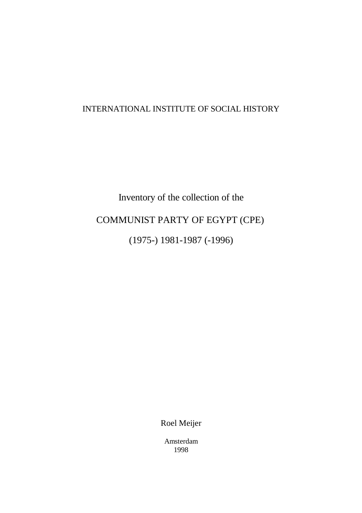# INTERNATIONAL INSTITUTE OF SOCIAL HISTORY

# Inventory of the collection of the COMMUNIST PARTY OF EGYPT (CPE) (1975-) 1981-1987 (-1996)

Roel Meijer

Amsterdam 1998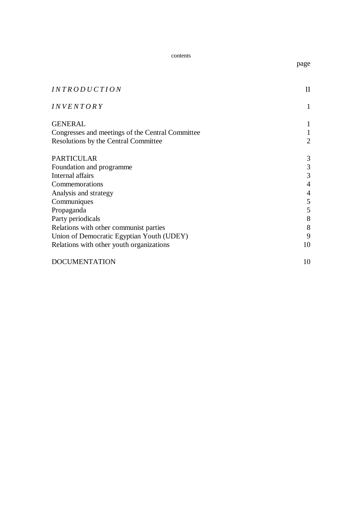contents

| <i>INTRODUCTION</i>                              |                |  |  |
|--------------------------------------------------|----------------|--|--|
| <i>INVENTORY</i>                                 | 1              |  |  |
| <b>GENERAL</b>                                   | 1              |  |  |
| Congresses and meetings of the Central Committee |                |  |  |
| Resolutions by the Central Committee             | $\overline{2}$ |  |  |
| <b>PARTICULAR</b>                                | 3              |  |  |
| Foundation and programme                         | 3              |  |  |
| Internal affairs                                 | 3              |  |  |
| Commemorations                                   |                |  |  |
| Analysis and strategy                            |                |  |  |
| Communiques                                      | 5              |  |  |
| Propaganda                                       | 5              |  |  |
| Party periodicals                                | 8              |  |  |
| Relations with other communist parties           | 8              |  |  |
| Union of Democratic Egyptian Youth (UDEY)        | 9              |  |  |
| Relations with other youth organizations         |                |  |  |
| <b>DOCUMENTATION</b>                             | 10             |  |  |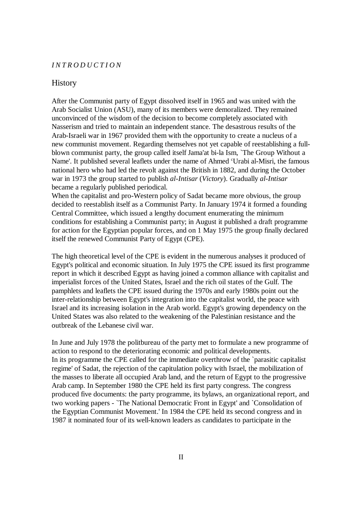#### *INTRODUCTION*

## **History**

After the Communist party of Egypt dissolved itself in 1965 and was united with the Arab Socialist Union (ASU), many of its members were demoralized. They remained unconvinced of the wisdom of the decision to become completely associated with Nasserism and tried to maintain an independent stance. The desastrous results of the Arab-Israeli war in 1967 provided them with the opportunity to create a nucleus of a new communist movement. Regarding themselves not yet capable of reestablishing a fullblown communist party, the group called itself Jama'at bi-la Ism, `The Group Without a Name'. It published several leaflets under the name of Ahmed "Urabi al-Misri, the famous national hero who had led the revolt against the British in 1882, and during the October war in 1973 the group started to publish *al-Intisar* (*Victory*). Gradually *al-Intisar* became a regularly published periodical.

When the capitalist and pro-Western policy of Sadat became more obvious, the group decided to reestablish itself as a Communist Party. In January 1974 it formed a founding Central Committee, which issued a lengthy document enumerating the minimum conditions for establishing a Communist party; in August it published a draft programme for action for the Egyptian popular forces, and on 1 May 1975 the group finally declared itself the renewed Communist Party of Egypt (CPE).

The high theoretical level of the CPE is evident in the numerous analyses it produced of Egypt's political and economic situation. In July 1975 the CPE issued its first programme report in which it described Egypt as having joined a common alliance with capitalist and imperialist forces of the United States, Israel and the rich oil states of the Gulf. The pamphlets and leaflets the CPE issued during the 1970s and early 1980s point out the inter-relationship between Egypt's integration into the capitalist world, the peace with Israel and its increasing isolation in the Arab world. Egypt's growing dependency on the United States was also related to the weakening of the Palestinian resistance and the outbreak of the Lebanese civil war.

In June and July 1978 the politbureau of the party met to formulate a new programme of action to respond to the deteriorating economic and political developments. In its programme the CPE called for the immediate overthrow of the `parasitic capitalist regime' of Sadat, the rejection of the capitulation policy with Israel, the mobilization of the masses to liberate all occupied Arab land, and the return of Egypt to the progressive Arab camp. In September 1980 the CPE held its first party congress. The congress produced five documents: the party programme, its bylaws, an organizational report, and two working papers - `The National Democratic Front in Egypt' and `Consolidation of the Egyptian Communist Movement.' In 1984 the CPE held its second congress and in 1987 it nominated four of its well-known leaders as candidates to participate in the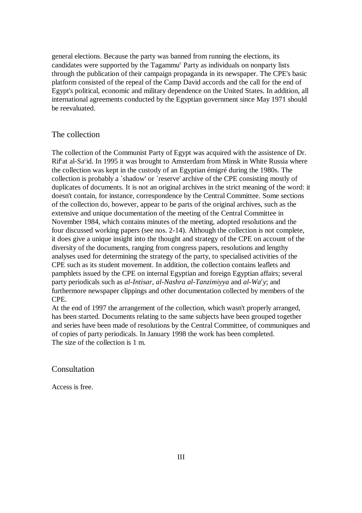general elections. Because the party was banned from running the elections, its candidates were supported by the Tagammu<sup>c</sup> Party as individuals on nonparty lists through the publication of their campaign propaganda in its newspaper. The CPE's basic platform consisted of the repeal of the Camp David accords and the call for the end of Egypt's political, economic and military dependence on the United States. In addition, all international agreements conducted by the Egyptian government since May 1971 should be reevaluated.

## The collection

The collection of the Communist Party of Egypt was acquired with the assistence of Dr. Rif<sup>c</sup>at al-Sa<sup>c</sup>id. In 1995 it was brought to Amsterdam from Minsk in White Russia where the collection was kept in the custody of an Egyptian émigré during the 1980s. The collection is probably a `shadow' or `reserve' archive of the CPE consisting mostly of duplicates of documents. It is not an original archives in the strict meaning of the word: it doesn't contain, for instance, correspondence by the Central Committee. Some sections of the collection do, however, appear to be parts of the original archives, such as the extensive and unique documentation of the meeting of the Central Committee in November 1984, which contains minutes of the meeting, adopted resolutions and the four discussed working papers (see nos. 2-14). Although the collection is not complete, it does give a unique insight into the thought and strategy of the CPE on account of the diversity of the documents, ranging from congress papers, resolutions and lengthy analyses used for determining the strategy of the party, to specialised activities of the CPE such as its student movement. In addition, the collection contains leaflets and pamphlets issued by the CPE on internal Egyptian and foreign Egyptian affairs; several party periodicals such as *al-Intisar*, *al-Nashra al-Tanzimiyya* and *al-Wa<sup>c</sup>y*; and furthermore newspaper clippings and other documentation collected by members of the CPE.

At the end of 1997 the arrangement of the collection, which wasn't properly arranged, has been started. Documents relating to the same subjects have been grouped together and series have been made of resolutions by the Central Committee, of communiques and of copies of party periodicals. In January 1998 the work has been completed. The size of the collection is 1 m.

## Consultation

Access is free.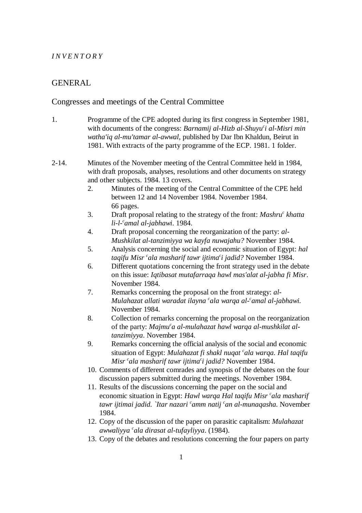#### *INVENTORY*

# GENERAL

## Congresses and meetings of the Central Committee

- 1. Programme of the CPE adopted during its first congress in September 1981, with documents of the congress: *Barnamij al-Hizb al-Shuyu<sup>c</sup>i al-Misri min watha'iq al-mu'tamar al-awwal*, published by Dar Ibn Khaldun, Beirut in 1981. With extracts of the party programme of the ECP. 1981. 1 folder.
- 2-14. Minutes of the November meeting of the Central Committee held in 1984, with draft proposals, analyses, resolutions and other documents on strategy and other subjects. 1984. 13 covers.
	- 2. Minutes of the meeting of the Central Committee of the CPE held between 12 and 14 November 1984. November 1984. 66 pages.
	- 3. Draft proposal relating to the strategy of the front: *Mashru<sup>c</sup> khatta li-l- amal al-jabhawi*. 1984. *<sup>c</sup>*
	- 4. Draft proposal concerning the reorganization of the party: *al-Mushkilat al-tanzimiyya wa kayfa nuwajahu?* November 1984.
	- 5. Analysis concerning the social and economic situation of Egypt: *hal taqifu Misr <sup>c</sup>ala masharif tawr ijtima<sup>c</sup>i jadid?* November 1984.
	- 6. Different quotations concerning the front strategy used in the debate on this issue: *Iqtibasat mutafarraqa hawl mas'alat al-jabha fi Misr*. November 1984.
	- 7. Remarks concerning the proposal on the front strategy: *al-Mulahazat allati waradat ilayna 'ala warqa al-'amal al-jabhawi.* November 1984.
	- 8. Collection of remarks concerning the proposal on the reorganization of the party: *Majmu<sup>c</sup>a al-mulahazat hawl warqa al-mushkilat altanzimiyya*. November 1984.
	- 9. Remarks concerning the official analysis of the social and economic situation of Egypt: *Mulahazat fi shakl nuqat cala warqa. Hal taqifu Misr cala masharif tawr ijtima<sup>c</sup>i jadid?* November 1984.
	- 10. Comments of different comrades and synopsis of the debates on the four discussion papers submitted during the meetings. November 1984.
	- 11. Results of the discussions concerning the paper on the social and economic situation in Egypt: *Hawl warqa Hal taqifu Misr cala masharif tawr ijtimai jadid. `Itar nazari camm natij can al-munaqasha.* November 1984.
	- 12. Copy of the discussion of the paper on parasitic capitalism: *Mulahazat awwaliyya ala dirasat al-tufayliyya*. (1984). *<sup>c</sup>*
	- 13. Copy of the debates and resolutions concerning the four papers on party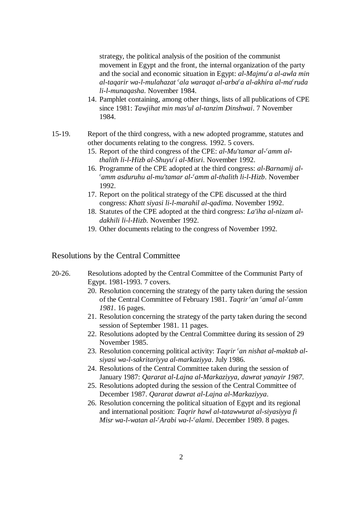strategy, the political analysis of the position of the communist movement in Egypt and the front, the internal organization of the party and the social and economic situation in Egypt: *al-Majmu<sup>c</sup>a al-awla min* al-tagarir wa-l-mulahazat <sup>c</sup>ala waragat al-arba <sup>c</sup>a al-akhira al-ma <sup>c</sup>ruda *li-l-munaqasha*. November 1984.

- 14. Pamphlet containing, among other things, lists of all publications of CPE since 1981: *Tawjihat min mas'ul al-tanzim Dinshwai*. 7 November 1984.
- 15-19. Report of the third congress, with a new adopted programme, statutes and other documents relating to the congress. 1992. 5 covers.
	- 15. Report of the third congress of the CPE: *al-Mu'tamar al- amm al- <sup>c</sup> thalith li-l-Hizb al-Shuyu i al-Misri*. November 1992. *<sup>c</sup>*
	- 16. Programme of the CPE adopted at the third congress: *al-Barnamij alamm asduruhu al-mu'tamar al- amm al-thalith li-l-Hizb*. November *c c* 1992.
	- 17. Report on the political strategy of the CPE discussed at the third congress: *Khatt siyasi li-l-marahil al-qadima*. November 1992.
	- 18. Statutes of the CPE adopted at the third congress: *La'iha al-nizam aldakhili li-l-Hizb.* November 1992.
	- 19. Other documents relating to the congress of November 1992.

## Resolutions by the Central Committee

- 20-26. Resolutions adopted by the Central Committee of the Communist Party of Egypt. 1981-1993. 7 covers.
	- 20. Resolution concerning the strategy of the party taken during the session of the Central Committee of February 1981. *Tagrir<sup>c</sup>an <sup>c</sup>amal al-<sup>c</sup>amm 1981*. 16 pages.
	- 21. Resolution concerning the strategy of the party taken during the second session of September 1981. 11 pages.
	- 22. Resolutions adopted by the Central Committee during its session of 29 November 1985.
	- 23. Resolution concerning political activity: *Tagrir* <sup>*c*</sup> *an nishat al-maktab alsiyasi wa-l-sakritariyya al-markaziyya*. July 1986.
	- 24. Resolutions of the Central Committee taken during the session of January 1987: *Qararat al-Lajna al-Markaziyya, dawrat yanayir 1987*.
	- 25. Resolutions adopted during the session of the Central Committee of December 1987. *Qararat dawrat al-Lajna al-Markaziyya*.
	- 26. Resolution concerning the political situation of Egypt and its regional and international position: *Taqrir hawl al-tatawwurat al-siyasiyya fi Misr wa-l-watan al-'Arabi wa-l-'alami.* December 1989. 8 pages.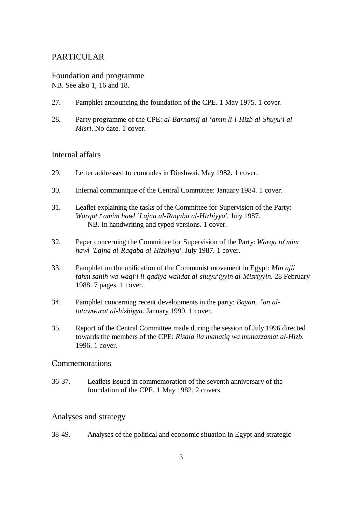# PARTICULAR

Foundation and programme NB. See also 1, 16 and 18.

- 27. Pamphlet announcing the foundation of the CPE. 1 May 1975. 1 cover.
- 28. Party programme of the CPE: *al-Barnamij al-<sup>c</sup>amm li-l-Hizb al-Shuyu<sup>c</sup>i al-Misri*. No date. 1 cover.

## Internal affairs

- 29. Letter addressed to comrades in Dinshwai. May 1982. 1 cover.
- 30. Internal communique of the Central Committee: January 1984. 1 cover.
- 31. Leaflet explaining the tasks of the Committee for Supervision of the Party: *Warqat t<sup>c</sup>amim hawl `Lajna al-Raqaba al-Hizbiyya'. July 1987.* NB. In handwriting and typed versions. 1 cover.
- 32. Paper concerning the Committee for Supervision of the Party: *Warqa ta* <sup>*c*</sup> mim *hawl `Lajna al-Raqaba al-Hizbiyya'*. July 1987. 1 cover.
- 33. Pamphlet on the unification of the Communist movement in Egypt: *Min ajli fahm sahih wa-waqi<sup>c</sup>i li-qadiya wahdat al-shuyu<sup>c</sup>iyyin al-Misriyyin.* 28 February 1988. 7 pages. 1 cover.
- 34. Pamphlet concerning recent developments in the party: *Bayan.. <sup>c</sup>an altatawwurat al-hizbiyya*. January 1990. 1 cover.
- 35. Report of the Central Committee made during the session of July 1996 directed towards the members of the CPE: *Risala ila manatiq wa munazzamat al-Hizb*. 1996. 1 cover.

## Commemorations

36-37. Leaflets issued in commemoration of the seventh anniversary of the foundation of the CPE. 1 May 1982. 2 covers.

# Analyses and strategy

38-49. Analyses of the political and economic situation in Egypt and strategic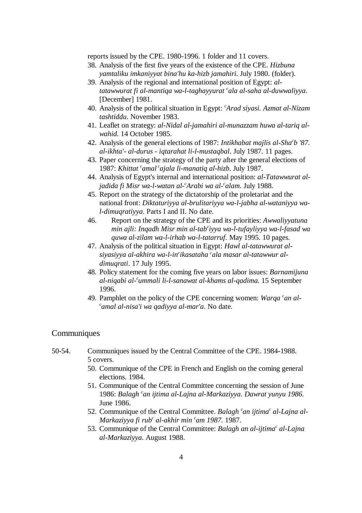reports issued by the CPE. 1980-1996. 1 folder and 11 covers.

- 38. Analysis of the first five years of the existence of the CPE. *Hizbuna yamtaliku imkaniyyat bina'hu ka-hizb jamahiri*. July 1980. (folder).
- 39. Analysis of the regional and international position of Egypt: *altatawwurat fi al-mantiga wa-l-taghayyurat cala al-saha al-duwwaliyya.* [December] 1981.
- 40. Analysis of the political situation in Egypt: *Arad siyasi. Azmat al-Nizam <sup>c</sup> tashtiddu*. November 1983.
- 41. Leaflet on strategy: *al-Nidal al-jamahiri al-munazzam huwa al-tariq alwahid*. 14 October 1985.
- 42. Analysis of the general elections of 1987: *Intikhabat majlis al-Sha<sup>c</sup>b '87*. *al-ikhta'- al-durus - iqtarahat li-l-mustaqbal*. July 1987. 11 pages.
- 43. Paper concerning the strategy of the party after the general elections of 1987: *Khittat <sup>c</sup>amal<sup>c</sup>ajala li-manatiq al-hizb.* July 1987.
- 44. Analysis of Egypt's internal and international position: *al-Tatawwurat aljadida fi Misr wa-l-watan al-'Arabi wa al-'alam.* July 1988.
- 45. Report on the strategy of the dictatorship of the proletariat and the national front: *Diktaturiyya al-brulitariyya wa-l-jabha al-wataniyya wal-dimuqratiyya*. Parts I and II. No date.
- 46. Report on the strategy of the CPE and its priorities: *Awwaliyyatuna min ajli: Inqadh Misr min al-tab iyya wa-l-tufayliyya wa-l-fasad wa <sup>c</sup> quwa al-zilam wa-l-irhab wa-l-tatarruf*. May 1995. 10 pages.
- 47. Analysis of the political situation in Egypt: *Hawl al-tatawwurat alsiyasiyya al-akhira wa-l-in* ikasataha cala masar al-tatawwur al*dimuqrati*. 17 July 1995.
- 48. Policy statement for the coming five years on labor issues: *Barnamijuna al-niqabi al- ummali li-l-sanawat al-khams al-qadima*. 15 September *<sup>c</sup>* 1996.
- 49. Pamphlet on the policy of the CPE concerning women: *Warqa <sup>c</sup>an alamal al-nisa'i wa qadiyya al-mar'a*. No date. *<sup>c</sup>*

## **Communiques**

- 50-54. Communiques issued by the Central Committee of the CPE. 1984-1988. 5 covers.
	- 50. Communique of the CPE in French and English on the coming general elections. 1984.
	- 51. Communique of the Central Committee concerning the session of June 1986: *Balagh <sup>c</sup>an ijtima al-Lajna al-Markaziyya. Dawrat yunyu 1986.* June 1986.
	- 52. Communique of the Central Committee. *Balagh <sup>c</sup>an ijtima<sup>c</sup> al-Lajna al-Markaziyya fi rub<sup>c</sup> al-akhir min <sup>c</sup>am 1987.* 1987.
	- 53. Communique of the Central Committee: *Balagh an al-ijtima<sup>c</sup> al-Lajna al-Markaziyya*. August 1988.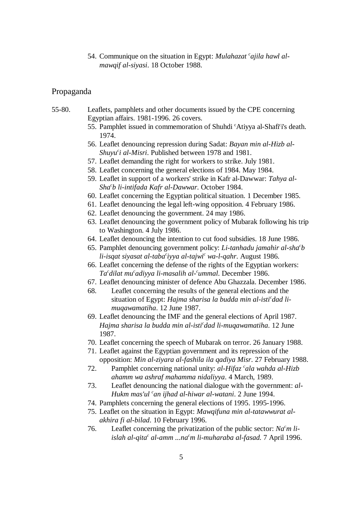54. Communique on the situation in Egypt: *Mulahazat 'ajila hawl almawqif al-siyasi*. 18 October 1988.

## Propaganda

- 55-80. Leaflets, pamphlets and other documents issued by the CPE concerning Egyptian affairs. 1981-1996. 26 covers.
	- 55. Pamphlet issued in commemoration of Shuhdi 'Atiyya al-Shafi'i's death. 1974.
	- 56. Leaflet denouncing repression during Sadat: *Bayan min al-Hizb al-Shuyu<sup>c</sup>i al-Misri*. Published between 1978 and 1981.
	- 57. Leaflet demanding the right for workers to strike. July 1981.
	- 58. Leaflet concerning the general elections of 1984. May 1984.
	- 59. Leaflet in support of a workers' strike in Kafr al-Dawwar: *Tahya al-Sha b li-intifada Kafr al-Dawwar*. October 1984. *<sup>c</sup>*
	- 60. Leaflet concerning the Egyptian political situation. 1 December 1985.
	- 61. Leaflet denouncing the legal left-wing opposition. 4 February 1986.
	- 62. Leaflet denouncing the government. 24 may 1986.
	- 63. Leaflet denouncing the government policy of Mubarak following his trip to Washington. 4 July 1986.
	- 64. Leaflet denouncing the intention to cut food subsidies. 18 June 1986.
	- 65. Pamphlet denouncing government policy: *Li-tanhadu jamahir al-sha<sup>c</sup>b*</sup> *li-isqat siyasat al-taba* iyya al-tajwi<sup>c</sup> wa-l-qahr. August 1986.
	- 66. Leaflet concerning the defense of the rights of the Egyptian workers: *Ta dilat mu adiyya li-masalih al- ummal*. December 1986. *cc c*
	- 67. Leaflet denouncing minister of defence Abu Ghazzala. December 1986.
	- 68. Leaflet concerning the results of the general elections and the situation of Egypt: Hajma sharisa la budda min al-isti<sup>c</sup>dad li*muqawamatiha*. 12 June 1987.
	- 69. Leaflet denouncing the IMF and the general elections of April 1987. *Hajma sharisa la budda min al-isti dad li-muqawamatiha*. 12 June *<sup>c</sup>* 1987.
	- 70. Leaflet concerning the speech of Mubarak on terror. 26 January 1988.
	- 71. Leaflet against the Egyptian government and its repression of the opposition: *Min al-ziyara al-fashila ila qadiya Misr*. 27 February 1988.
	- 72. Pamphlet concerning national unity: *al-Hifaz <sup>c</sup>ala wahda al-Hizb ahamm wa ashraf mahamma nidaliyya*. 4 March, 1989.
	- 73. Leaflet denouncing the national dialogue with the government: *al-Hukm mas'ul <sup>c</sup>an ijhad al-hiwar al-watani.* 2 June 1994.
	- 74. Pamphlets concerning the general elections of 1995. 1995-1996.
	- 75. Leaflet on the situation in Egypt: *Mawqifuna min al-tatawwurat alakhira fi al-bilad*. 10 February 1996.
	- 76. Leaflet concerning the privatization of the public sector: *Na m li- <sup>c</sup> islah al-qita<sup>c</sup> al-amm ...na<sup>c</sup>m li-muharaba al-fasad.* 7 April 1996.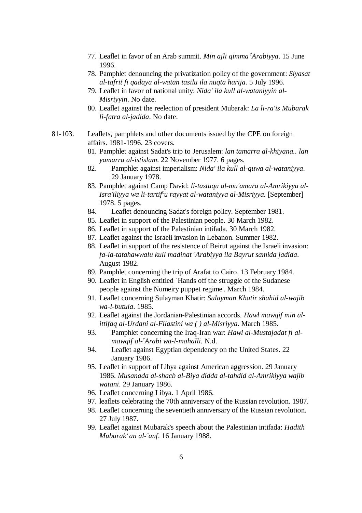- 77. Leaflet in favor of an Arab summit. *Min ajli qimma Arabiyya*. 15 June 1996.
- 78. Pamphlet denouncing the privatization policy of the government: *Siyasat al-tafrit fi qadaya al-watan tasilu ila nuqta harija*. 5 July 1996.
- 79. Leaflet in favor of national unity: *Nida' ila kull al-wataniyyin al-Misriyyin*. No date.
- 80. Leaflet against the reelection of president Mubarak: *La li-ra'is Mubarak li-fatra al-jadida*. No date.
- 81-103. Leaflets, pamphlets and other documents issued by the CPE on foreign affairs. 1981-1996. 23 covers.
	- 81. Pamphlet against Sadat's trip to Jerusalem: *lan tamarra al-khiyana.. lan yamarra al-istislam*. 22 November 1977. 6 pages.
	- 82. Pamphlet against imperialism: *Nida' ila kull al-quwa al-wataniyya*. 29 January 1978.
	- 83. Pamphlet against Camp David: *li-tastuqu al-mu'amara al-Amrikiyya al-Isra'iliyya wa li-tartif u rayyat al-wataniyya al-Misriyya*. [September] *<sup>c</sup>* 1978. 5 pages.
	- 84. Leaflet denouncing Sadat's foreign policy. September 1981.
	- 85. Leaflet in support of the Palestinian people. 30 March 1982.
	- 86. Leaflet in support of the Palestinian intifada. 30 March 1982.
	- 87. Leaflet against the Israeli invasion in Lebanon. Summer 1982.
	- 88. Leaflet in support of the resistence of Beirut against the Israeli invasion: *fa-la-tatahawwalu kull madinat Arabiyya ila Bayrut samida jadida*. *<sup>c</sup>* August 1982.
	- 89. Pamphlet concerning the trip of Arafat to Cairo. 13 February 1984.
	- 90. Leaflet in English entitled `Hands off the struggle of the Sudanese people against the Numeiry puppet regime'. March 1984.
	- 91. Leaflet concerning Sulayman Khatir: *Sulayman Khatir shahid al-wajib wa-l-butula*. 1985.
	- 92. Leaflet against the Jordanian-Palestinian accords. *Hawl mawqif min alittifaq al-Urdani al-Filastini wa ( ) al-Misriyya*. March 1985.
	- 93. Pamphlet concerning the Iraq-Iran war: *Hawl al-Mustajadat fi almawqif al- Arabi wa-l-mahalli*. N.d. *<sup>c</sup>*
	- 94. Leaflet against Egyptian dependency on the United States. 22 January 1986.
	- 95. Leaflet in support of Libya against American aggression. 29 January 1986. *Musanada al-shacb al-Biya didda al-tahdid al-Amrikiyya wajib watani*. 29 January 1986.
	- 96. Leaflet concerning Libya. 1 April 1986.
	- 97. leaflets celebrating the 70th anniversary of the Russian revolution. 1987.
	- 98. Leaflet concerning the seventieth anniversary of the Russian revolution. 27 July 1987.
	- 99. Leaflet against Mubarak's speech about the Palestinian intifada: *Hadith Mubarak<sup>c</sup>an al-'anf.* 16 January 1988.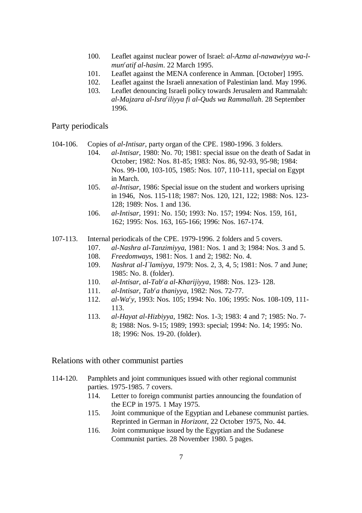- 100. Leaflet against nuclear power of Israel: *al-Azma al-nawawiyya wa-lmun atif al-hasim*. 22 March 1995. *<sup>c</sup>*
- 101. Leaflet against the MENA conference in Amman. [October] 1995.
- 102. Leaflet against the Israeli annexation of Palestinian land. May 1996.
- 103. Leaflet denouncing Israeli policy towards Jerusalem and Rammalah: *al-Majzara al-Isra iliyya fi al-Quds wa Rammallah*. 28 September *<sup>c</sup>* 1996.

Party periodicals

- 104-106. Copies of *al-Intisar*, party organ of the CPE. 1980-1996. 3 folders.
	- 104. *al-Intisar*, 1980: No. 70; 1981: special issue on the death of Sadat in October; 1982: Nos. 81-85; 1983: Nos. 86, 92-93, 95-98; 1984: Nos. 99-100, 103-105, 1985: Nos. 107, 110-111, special on Egypt in March.
	- 105. *al-Intisar*, 1986: Special issue on the student and workers uprising in 1946, Nos. 115-118; 1987: Nos. 120, 121, 122; 1988: Nos. 123- 128; 1989: Nos. 1 and 136.
	- 106. *al-Intisar*, 1991: No. 150; 1993: No. 157; 1994: Nos. 159, 161, 162; 1995: Nos. 163, 165-166; 1996: Nos. 167-174.
- 107-113. Internal periodicals of the CPE. 1979-1996. 2 folders and 5 covers.
	- 107. *al-Nashra al-Tanzimiyya*, 1981: Nos. 1 and 3; 1984: Nos. 3 and 5.
	- 108. *Freedomways*, 1981: Nos. 1 and 2; 1982: No. 4.
	- 109. *Nashrat al-I`lamiyya*, 1979: Nos. 2, 3, 4, 5; 1981: Nos. 7 and June; 1985: No. 8. (folder).
	- 110. *al-Intisar, al-Tab a al-Kharijiyya*, 1988: Nos. 123- 128. *<sup>c</sup>*
	- 111. *al-Intisar, Tab<sup>c</sup>a thaniyya*, 1982: Nos. 72-77.
	- 112. *al-Wa y*, 1993: Nos. 105; 1994: No. 106; 1995: Nos. 108-109, 111- *<sup>c</sup>* 113.
	- 113. *al-Hayat al-Hizbiyya*, 1982: Nos. 1-3; 1983: 4 and 7; 1985: No. 7- 8; 1988: Nos. 9-15; 1989; 1993: special; 1994: No. 14; 1995: No. 18; 1996: Nos. 19-20. (folder).

Relations with other communist parties

- 114-120. Pamphlets and joint communiques issued with other regional communist parties. 1975-1985. 7 covers.
	- 114. Letter to foreign communist parties announcing the foundation of the ECP in 1975. 1 May 1975.
	- 115. Joint communique of the Egyptian and Lebanese communist parties. Reprinted in German in *Horizont*, 22 October 1975, No. 44.
	- 116. Joint communique issued by the Egyptian and the Sudanese Communist parties. 28 November 1980. 5 pages.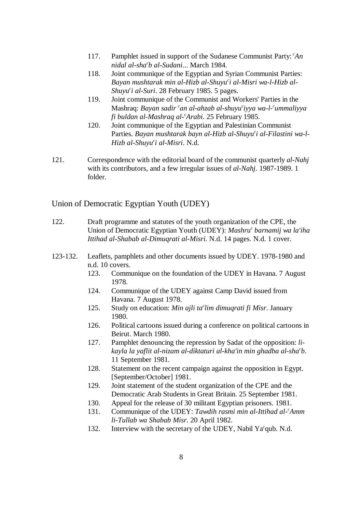- 117. Pamphlet issued in support of the Sudanese Communist Party: *An <sup>c</sup> nidal al-sha b al-Sudani*... March 1984. *<sup>c</sup>*
- 118. Joint communique of the Egyptian and Syrian Communist Parties: *Bayan mushtarak min al-Hizb al-Shuyu i al-Misri wa-l-Hizb al- <sup>c</sup> Shuyu<sup>c</sup>i al-Suri*. 28 February 1985. 5 pages.
- 119. Joint communique of the Communist and Workers' Parties in the Mashraq: *Bayan sadir* <sup>c</sup>an al-ahzab al-shuyu<sup>c</sup>iyya wa-l-<sup>c</sup>ummaliyya *fi buldan al-Mashraq al- Arabi*. 25 February 1985. *<sup>c</sup>*
- 120. Joint communique of the Egyptian and Palestinian Communist Parties. *Bayan mushtarak bayn al-Hizb al-Shuyu'i al-Filastini wa-l-Hizb al-Shuyu<sup>c</sup>i al-Misri*. N.d.
- 121. Correspondence with the editorial board of the communist quarterly *al-Nahj* with its contributors, and a few irregular issues of *al-Nahj*. 1987-1989. 1 folder.

# Union of Democratic Egyptian Youth (UDEY)

| 122.     |      | Draft programme and statutes of the youth organization of the CPE, the<br>Union of Democratic Egyptian Youth (UDEY): Mashru <sup>c</sup> barnamij wa la'iha<br>Ittihad al-Shabab al-Dimuqrati al-Misri. N.d. 14 pages. N.d. 1 cover. |  |
|----------|------|--------------------------------------------------------------------------------------------------------------------------------------------------------------------------------------------------------------------------------------|--|
| 123-132. |      | Leaflets, pamphlets and other documents issued by UDEY. 1978-1980 and<br>n.d. 10 covers.                                                                                                                                             |  |
|          | 123. | Communique on the foundation of the UDEY in Havana. 7 August<br>1978.                                                                                                                                                                |  |
|          | 124. | Communique of the UDEY against Camp David issued from<br>Havana. 7 August 1978.                                                                                                                                                      |  |
|          | 125. | Study on education: Min ajli ta'lim dimuqrati fi Misr. January<br>1980.                                                                                                                                                              |  |
|          | 126. | Political cartoons issued during a conference on political cartoons in<br>Beirut. March 1980.                                                                                                                                        |  |
|          | 127. | Pamphlet denouncing the repression by Sadat of the opposition: li-<br>kayla la yaflit al-nizam al-diktaturi al-kha'in min ghadba al-sha <sup>c</sup> b.<br>11 September 1981.                                                        |  |
|          | 128. | Statement on the recent campaign against the opposition in Egypt.<br>[September/October] 1981.                                                                                                                                       |  |
|          | 129. | Joint statement of the student organization of the CPE and the<br>Democratic Arab Students in Great Britain. 25 September 1981.                                                                                                      |  |
|          | 130. | Appeal for the release of 30 militant Egyptian prisoners. 1981.                                                                                                                                                                      |  |
|          | 131. | Communique of the UDEY: Tawdih rasmi min al-Ittihad al- <sup>c</sup> Amm<br>li-Tullab wa Shabab Misr. 20 April 1982.                                                                                                                 |  |
|          | 132. | Interview with the secretary of the UDEY, Nabil Ya <sup>c</sup> qub. N.d.                                                                                                                                                            |  |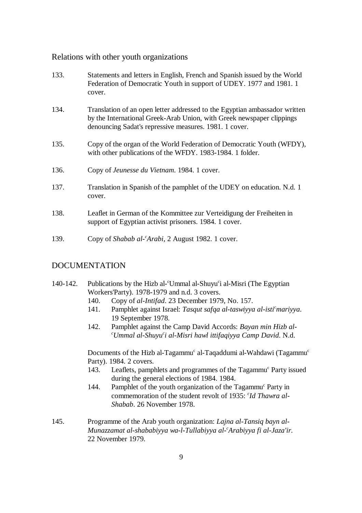## Relations with other youth organizations

| 133. | Statements and letters in English, French and Spanish issued by the World<br>Federation of Democratic Youth in support of UDEY. 1977 and 1981. 1<br>cover.                                                    |
|------|---------------------------------------------------------------------------------------------------------------------------------------------------------------------------------------------------------------|
| 134. | Translation of an open letter addressed to the Egyptian ambassador written<br>by the International Greek-Arab Union, with Greek newspaper clippings<br>denouncing Sadat's repressive measures. 1981. 1 cover. |
| 135. | Copy of the organ of the World Federation of Democratic Youth (WFDY),<br>with other publications of the WFDY. 1983-1984. 1 folder.                                                                            |
| 136. | Copy of <i>Jeunesse du Vietnam.</i> 1984. 1 cover.                                                                                                                                                            |
| 137. | Translation in Spanish of the pamphlet of the UDEY on education. N.d. 1<br>cover.                                                                                                                             |
| 138. | Leaflet in German of the Kommittee zur Verteidigung der Freiheiten in<br>support of Egyptian activist prisoners. 1984. 1 cover.                                                                               |
| 139. | Copy of Shabab al-'Arabi, 2 August 1982. 1 cover.                                                                                                                                                             |

## DOCUMENTATION

- 140-142. Publications by the Hizb al- <sup>c</sup>Ummal al-Shuyu i al-Misri (The Egyptian Workers'Party). 1978-1979 and n.d. 3 covers.
	- 140. Copy of *al-Intifad*. 23 December 1979, No. 157.
	- 141. Pamphlet against Israel: *Tasqut safqa al-taswiyya al-isti<sup>c</sup>mariyya*. 19 September 1978.
	- 142. Pamphlet against the Camp David Accords: *Bayan min Hizb al-Ummal al-Shuyu i al-Misri hawl ittifaqiyya Camp David*. N.d. *c c*

Documents of the Hizb al-Tagammu<sup>c</sup> al-Taqaddumi al-Wahdawi (Tagammu<sup>c</sup> Party). 1984. 2 covers.

- 143. Leaflets, pamphlets and programmes of the Tagammu<sup>c</sup> Party issued during the general elections of 1984. 1984.
- 144. Pamphlet of the youth organization of the Tagammu<sup>c</sup> Party in commemoration of the student revolt of 1935: *Id Thawra al- <sup>c</sup> Shabab*. 26 November 1978.
- 145. Programme of the Arab youth organization: *Lajna al-Tansiq bayn al-Munazzamat al-shababiyya wa-l-Tullabiyya al- Arabiyya fi al-Jaza'ir*. *<sup>c</sup>* 22 November 1979.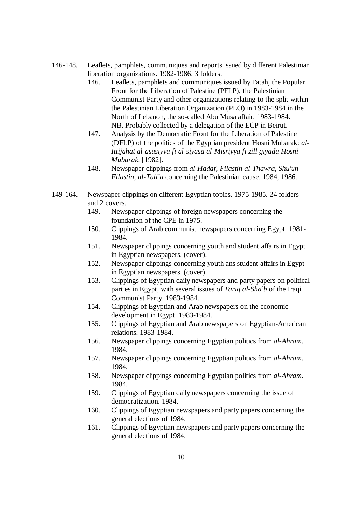- 146-148. Leaflets, pamphlets, communiques and reports issued by different Palestinian liberation organizations. 1982-1986. 3 folders.
	- 146. Leaflets, pamphlets and communiques issued by Fatah, the Popular Front for the Liberation of Palestine (PFLP), the Palestinian Communist Party and other organizations relating to the split within the Palestinian Liberation Organization (PLO) in 1983-1984 in the North of Lebanon, the so-called Abu Musa affair. 1983-1984. NB. Probably collected by a delegation of the ECP in Beirut.
	- 147. Analysis by the Democratic Front for the Liberation of Palestine (DFLP) of the politics of the Egyptian president Hosni Mubarak: *al-Ittijahat al-asasiyya fi al-siyasa al-Misriyya fi zill giyada Hosni Mubarak*. [1982].
	- 148. Newspaper clippings from *al-Hadaf*, *Filastin al-Thawra*, *Shu'un Filastin, al-Tali<sup>c</sup>a* concerning the Palestinian cause. 1984, 1986.
- 149-164. Newspaper clippings on different Egyptian topics. 1975-1985. 24 folders and 2 covers.
	- 149. Newspaper clippings of foreign newspapers concerning the foundation of the CPE in 1975.
	- 150. Clippings of Arab communist newspapers concerning Egypt. 1981- 1984.
	- 151. Newspaper clippings concerning youth and student affairs in Egypt in Egyptian newspapers. (cover).
	- 152. Newspaper clippings concerning youth ans student affairs in Egypt in Egyptian newspapers. (cover).
	- 153. Clippings of Egyptian daily newspapers and party papers on political parties in Egypt, with several issues of *Tariq al-Sha<sup>c</sup>b* of the Iraqi Communist Party. 1983-1984.
	- 154. Clippings of Egyptian and Arab newspapers on the economic development in Egypt. 1983-1984.
	- 155. Clippings of Egyptian and Arab newspapers on Egyptian-American relations. 1983-1984.
	- 156. Newspaper clippings concerning Egyptian politics from *al-Ahram*. 1984.
	- 157. Newspaper clippings concerning Egyptian politics from *al-Ahram*. 1984.
	- 158. Newspaper clippings concerning Egyptian politics from *al-Ahram*. 1984.
	- 159. Clippings of Egyptian daily newspapers concerning the issue of democratization. 1984.
	- 160. Clippings of Egyptian newspapers and party papers concerning the general elections of 1984.
	- 161. Clippings of Egyptian newspapers and party papers concerning the general elections of 1984.